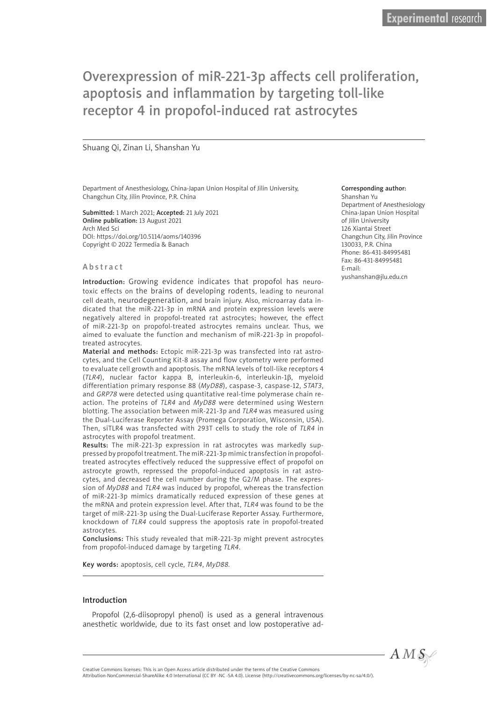# Overexpression of miR-221-3p affects cell proliferation, apoptosis and inflammation by targeting toll-like receptor 4 in propofol-induced rat astrocytes

#### Shuang Qi, Zinan Li, Shanshan Yu

Department of Anesthesiology, China-Japan Union Hospital of Jilin University, Changchun City, Jilin Province, P.R. China

Submitted: 1 March 2021; Accepted: 21 July 2021 Online publication: 13 August 2021 Arch Med Sci DOI: https://doi.org/10.5114/aoms/140396 Copyright © 2022 Termedia & Banach

#### Abstract

Introduction: Growing evidence indicates that propofol has neurotoxic effects on the brains of developing rodents, leading to neuronal cell death, neurodegeneration, and brain injury. Also, microarray data indicated that the miR-221-3p in mRNA and protein expression levels were negatively altered in propofol-treated rat astrocytes; however, the effect of miR-221-3p on propofol-treated astrocytes remains unclear. Thus, we aimed to evaluate the function and mechanism of miR-221-3p in propofoltreated astrocytes.

Material and methods: Ectopic miR-221-3p was transfected into rat astrocytes, and the Cell Counting Kit-8 assay and flow cytometry were performed to evaluate cell growth and apoptosis. The mRNA levels of toll-like receptors 4 (*TLR4*), nuclear factor kappa B, interleukin-6, interleukin-1β, myeloid differentiation primary response 88 (*MyD88*), caspase-3, caspase-12, *STAT3*, and *GRP78* were detected using quantitative real-time polymerase chain reaction. The proteins of *TLR4* and *MyD88* were determined using Western blotting. The association between miR-221-3p and *TLR4* was measured using the Dual-Luciferase Reporter Assay (Promega Corporation, Wisconsin, USA). Then, siTLR4 was transfected with 293T cells to study the role of *TLR4* in astrocytes with propofol treatment.

Results: The miR-221-3p expression in rat astrocytes was markedly suppressed by propofol treatment. The miR-221-3p mimic transfection in propofoltreated astrocytes effectively reduced the suppressive effect of propofol on astrocyte growth, repressed the propofol-induced apoptosis in rat astrocytes, and decreased the cell number during the G2/M phase. The expression of *MyD88* and *TLR4* was induced by propofol, whereas the transfection of miR-221-3p mimics dramatically reduced expression of these genes at the mRNA and protein expression level. After that, *TLR4* was found to be the target of miR-221-3p using the Dual-Luciferase Reporter Assay. Furthermore, knockdown of *TLR4* could suppress the apoptosis rate in propofol-treated astrocytes.

Conclusions: This study revealed that miR-221-3p might prevent astrocytes from propofol-induced damage by targeting *TLR4*.

Key words: apoptosis, cell cycle, *TLR4*, *MyD88.*

#### Introduction

Propofol (2,6-diisopropyl phenol) is used as a general intravenous anesthetic worldwide, due to its fast onset and low postoperative ad-

#### Corresponding author:

Shanshan Yu Department of Anesthesiology China-Japan Union Hospital of Jilin University 126 Xiantai Street Changchun City, Jilin Province 130033, P.R. China Phone: 86-431-84995481 Fax: 86-431-84995481 E-mail: yushanshan@jlu.edu.cn

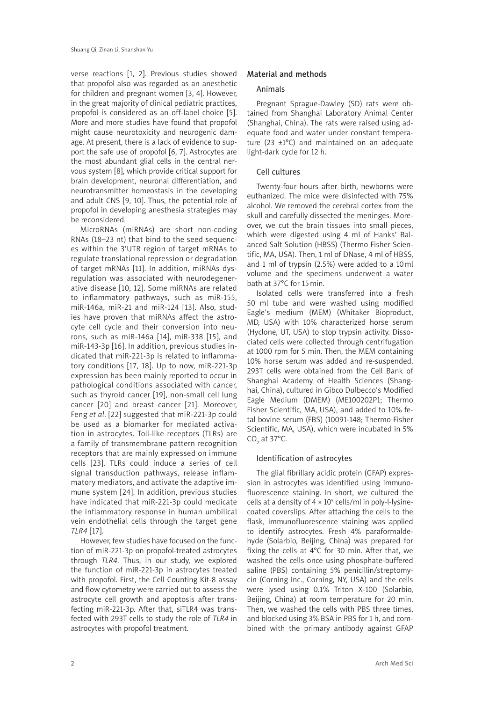verse reactions [1, 2]. Previous studies showed that propofol also was regarded as an anesthetic for children and pregnant women [3, 4]. However, in the great majority of clinical pediatric practices, propofol is considered as an off-label choice [5]. More and more studies have found that propofol might cause neurotoxicity and neurogenic damage. At present, there is a lack of evidence to support the safe use of propofol [6, 7]. Astrocytes are the most abundant glial cells in the central nervous system [8], which provide critical support for brain development, neuronal differentiation, and neurotransmitter homeostasis in the developing and adult CNS [9, 10]. Thus, the potential role of propofol in developing anesthesia strategies may be reconsidered.

MicroRNAs (miRNAs) are short non-coding RNAs (18–23 nt) that bind to the seed sequences within the 3'UTR region of target mRNAs to regulate translational repression or degradation of target mRNAs [11]. In addition, miRNAs dysregulation was associated with neurodegenerative disease [10, 12]. Some miRNAs are related to inflammatory pathways, such as miR-155, miR-146a, miR-21 and miR-124 [13]. Also, studies have proven that miRNAs affect the astrocyte cell cycle and their conversion into neurons, such as miR-146a [14], miR-338 [15], and miR-143-3p [16]. In addition, previous studies indicated that miR-221-3p is related to inflammatory conditions [17, 18]. Up to now, miR-221-3p expression has been mainly reported to occur in pathological conditions associated with cancer, such as thyroid cancer [19], non-small cell lung cancer [20] and breast cancer [21]. Moreover, Feng *et al*. [22] suggested that miR-221-3p could be used as a biomarker for mediated activation in astrocytes. Toll-like receptors (TLRs) are a family of transmembrane pattern recognition receptors that are mainly expressed on immune cells [23]. TLRs could induce a series of cell signal transduction pathways, release inflammatory mediators, and activate the adaptive immune system [24]. In addition, previous studies have indicated that miR-221-3p could medicate the inflammatory response in human umbilical vein endothelial cells through the target gene *TLR4* [17].

However, few studies have focused on the function of miR-221-3p on propofol-treated astrocytes through *TLR4*. Thus, in our study, we explored the function of miR-221-3p in astrocytes treated with propofol. First, the Cell Counting Kit-8 assay and flow cytometry were carried out to assess the astrocyte cell growth and apoptosis after transfecting miR-221-3p. After that, siTLR4 was transfected with 293T cells to study the role of *TLR4* in astrocytes with propofol treatment.

#### Material and methods

#### Animals

Pregnant Sprague-Dawley (SD) rats were obtained from Shanghai Laboratory Animal Center (Shanghai, China). The rats were raised using adequate food and water under constant temperature (23 ±1°C) and maintained on an adequate light-dark cycle for 12 h.

## Cell cultures

Twenty-four hours after birth, newborns were euthanized. The mice were disinfected with 75% alcohol. We removed the cerebral cortex from the skull and carefully dissected the meninges. Moreover, we cut the brain tissues into small pieces, which were digested using 4 ml of Hanks' Balanced Salt Solution (HBSS) (Thermo Fisher Scientific, MA, USA). Then, 1 ml of DNase, 4 ml of HBSS, and 1 ml of trypsin (2.5%) were added to a 10ml volume and the specimens underwent a water bath at 37°C for 15min.

Isolated cells were transferred into a fresh 50 ml tube and were washed using modified Eagle's medium (MEM) (Whitaker Bioproduct, MD, USA) with 10% characterized horse serum (Hyclone, UT, USA) to stop trypsin activity. Dissociated cells were collected through centrifugation at 1000 rpm for 5 min. Then, the MEM containing 10% horse serum was added and re-suspended. 293T cells were obtained from the Cell Bank of Shanghai Academy of Health Sciences (Shanghai, China), cultured in Gibco Dulbecco's Modified Eagle Medium (DMEM) (ME100202P1; Thermo Fisher Scientific, MA, USA), and added to 10% fetal bovine serum (FBS) (10091-148; Thermo Fisher Scientific, MA, USA), which were incubated in 5% CO<sub>2</sub> at 37°C.

#### Identification of astrocytes

The glial fibrillary acidic protein (GFAP) expression in astrocytes was identified using immunofluorescence staining. In short, we cultured the cells at a density of  $4 \times 10^5$  cells/ml in poly-l-lysinecoated coverslips. After attaching the cells to the flask, immunofluorescence staining was applied to identify astrocytes. Fresh 4% paraformaldehyde (Solarbio, Beijing, China) was prepared for fixing the cells at 4°C for 30 min. After that, we washed the cells once using phosphate-buffered saline (PBS) containing 5% penicillin/streptomycin (Corning Inc., Corning, NY, USA) and the cells were lysed using 0.1% Triton X-100 (Solarbio, Beijing, China) at room temperature for 20 min. Then, we washed the cells with PBS three times, and blocked using 3% BSA in PBS for 1 h, and combined with the primary antibody against GFAP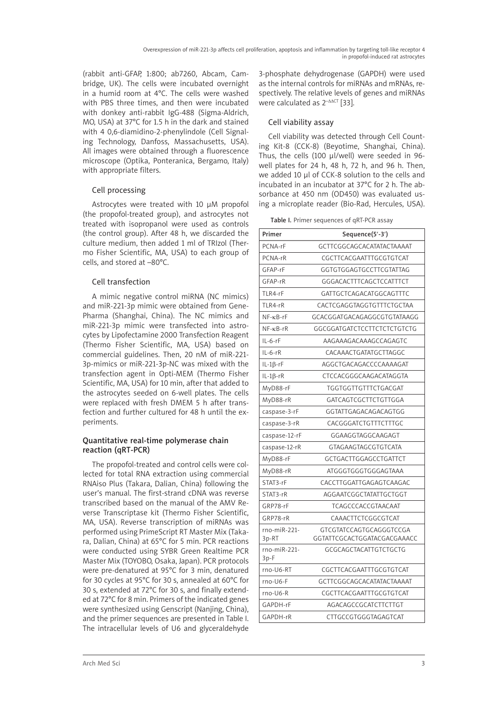(rabbit anti-GFAP, 1:800; ab7260, Abcam, Cambridge, UK). The cells were incubated overnight in a humid room at 4°C. The cells were washed with PBS three times, and then were incubated with donkey anti-rabbit IgG-488 (Sigma-Aldrich, MO, USA) at 37°C for 1.5 h in the dark and stained with 4 0,6-diamidino-2-phenylindole (Cell Signaling Technology, Danfoss, Massachusetts, USA). All images were obtained through a fluorescence microscope (Optika, Ponteranica, Bergamo, Italy) with appropriate filters.

# Cell processing

Astrocytes were treated with 10 μM propofol (the propofol-treated group), and astrocytes not treated with isopropanol were used as controls (the control group). After 48 h, we discarded the culture medium, then added 1 ml of TRIzol (Thermo Fisher Scientific, MA, USA) to each group of cells, and stored at –80°C.

# Cell transfection

A mimic negative control miRNA (NC mimics) and miR-221-3p mimic were obtained from Gene-Pharma (Shanghai, China). The NC mimics and miR-221-3p mimic were transfected into astrocytes by Lipofectamine 2000 Transfection Reagent (Thermo Fisher Scientific, MA, USA) based on commercial guidelines. Then, 20 nM of miR-221- 3p-mimics or miR-221-3p-NC was mixed with the transfection agent in Opti-MEM (Thermo Fisher Scientific, MA, USA) for 10 min, after that added to the astrocytes seeded on 6-well plates. The cells were replaced with fresh DMEM 5 h after transfection and further cultured for 48 h until the experiments.

## Quantitative real-time polymerase chain reaction (qRT-PCR)

The propofol-treated and control cells were collected for total RNA extraction using commercial RNAiso Plus (Takara, Dalian, China) following the user's manual. The first-strand cDNA was reverse transcribed based on the manual of the AMV Reverse Transcriptase kit (Thermo Fisher Scientific, MA, USA). Reverse transcription of miRNAs was performed using PrimeScript RT Master Mix (Takara, Dalian, China) at 65°C for 5 min. PCR reactions were conducted using SYBR Green Realtime PCR Master Mix (TOYOBO, Osaka, Japan). PCR protocols were pre-denatured at 95°C for 3 min, denatured for 30 cycles at 95°C for 30 s, annealed at 60°C for 30 s, extended at 72°C for 30 s, and finally extended at 72°C for 8 min. Primers of the indicated genes were synthesized using Genscript (Nanjing, China), and the primer sequences are presented in Table I. The intracellular levels of U6 and glyceraldehyde

3-phosphate dehydrogenase (GAPDH) were used as the internal controls for miRNAs and mRNAs, respectively. The relative levels of genes and miRNAs were calculated as 2<sup>-ΔΔCT</sup> [33].

# Cell viability assay

Cell viability was detected through Cell Counting Kit-8 (CCK-8) (Beyotime, Shanghai, China). Thus, the cells (100 μl/well) were seeded in 96 well plates for 24 h, 48 h, 72 h, and 96 h. Then, we added 10 μl of CCK-8 solution to the cells and incubated in an incubator at 37°C for 2 h. The absorbance at 450 nm (OD450) was evaluated using a microplate reader (Bio-Rad, Hercules, USA).

Table I. Primer sequences of qRT-PCR assay

| Primer                  | Sequence(5'-3')                                        |
|-------------------------|--------------------------------------------------------|
| PCNA-rF                 | GCTTCGGCAGCACATATACTAAAAT                              |
| PCNA-rR                 | CGCTTCACGAATTTGCGTGTCAT                                |
| GFAP-rF                 | GGTGTGGAGTGCCTTCGTATTAG                                |
| GFAP-rR                 | GGGACACTTTCAGCTCCATTTCT                                |
| TLR4-rF                 | GATTGCTCAGACATGGCAGTTTC                                |
| TLR4-rR                 | CACTCGAGGTAGGTGTTTCTGCTAA                              |
| $NF - \kappa B - rF$    | GCACGGATGACAGAGGCGTGTATAAGG                            |
| $NF$ - $\kappa$ B-r $R$ | GGCGGATGATCTCCTTCTCTCTGTCTG                            |
| $IL-6-rF$               | AAGAAAGACAAAGCCAGAGTC                                  |
| $IL-6-rR$               | CACAAACTGATATGCTTAGGC                                  |
| $IL-1\beta-rF$          | AGGCTGACAGACCCCAAAAGAT                                 |
| $IL-1\beta-rR$          | CTCCACGGGCAAGACATAGGTA                                 |
| MyD88-rF                | TGGTGGTTGTTTCTGACGAT                                   |
| MyD88-rR                | GATCAGTCGCTTCTGTTGGA                                   |
| caspase-3-rF            | GGTATTGAGACAGACAGTGG                                   |
| caspase-3-rR            | CACGGGATCTGTTTCTTTGC                                   |
| caspase-12-rF           | GGAAGGTAGGCAAGAGT                                      |
| caspase-12-rR           | GTAGAAGTAGCGTGTCATA                                    |
| MyD88-rF                | GCTGACTTGGAGCCTGATTCT                                  |
| MyD88-rR                | ATGGGTGGGTGGGAGTAAA                                    |
| STAT3-rF                | CACCTTGGATTGAGAGTCAAGAC                                |
| STAT3-rR                | AGGAATCGGCTATATTGCTGGT                                 |
| GRP78-rF                | TCAGCCCACCGTAACAAT                                     |
| GRP78-rR                | CAAACTTCTCGGCGTCAT                                     |
| rno-miR-221-<br>3p-RT   | GTCGTATCCAGTGCAGGGTCCGA<br>GGTATTCGCACTGGATACGACGAAACC |
| rno-miR-221-<br>3p-F    | GCGCAGCTACATTGTCTGCTG                                  |
| rno-U6-RT               | CGCTTCACGAATTTGCGTGTCAT                                |
| rno-U6-F                | GCTTCGGCAGCACATATACTAAAAT                              |
| $rno-U6-R$              | CGCTTCACGAATTTGCGTGTCAT                                |
| GAPDH-rF                | AGACAGCCGCATCTTCTTGT                                   |
| GAPDH-rR                | CTTGCCGTGGGTAGAGTCAT                                   |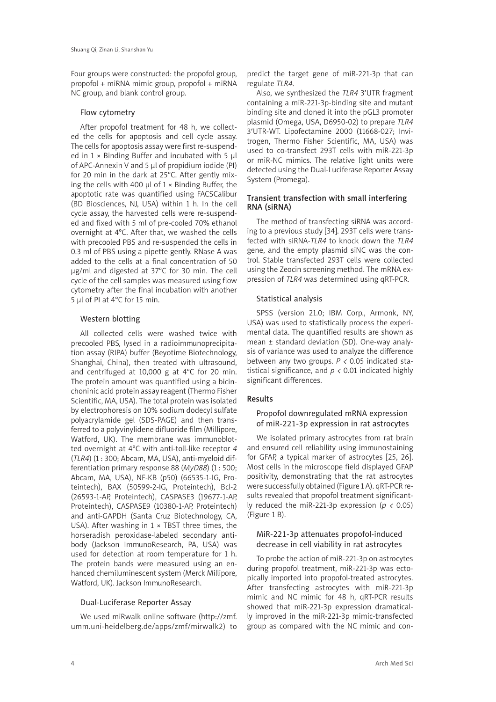Four groups were constructed: the propofol group, propofol + miRNA mimic group, propofol + miRNA NC group, and blank control group.

#### Flow cytometry

After propofol treatment for 48 h, we collected the cells for apoptosis and cell cycle assay. The cells for apoptosis assay were first re-suspended in 1 × Binding Buffer and incubated with 5 μl of APC-Annexin V and 5 μl of propidium iodide (PI) for 20 min in the dark at 25°C. After gently mixing the cells with 400  $\mu$ l of 1  $\times$  Binding Buffer, the apoptotic rate was quantified using FACSCalibur (BD Biosciences, NJ, USA) within 1 h. In the cell cycle assay, the harvested cells were re-suspended and fixed with 5 ml of pre-cooled 70% ethanol overnight at 4°C. After that, we washed the cells with precooled PBS and re-suspended the cells in 0.3 ml of PBS using a pipette gently. RNase A was added to the cells at a final concentration of 50 μg/ml and digested at 37°C for 30 min. The cell cycle of the cell samples was measured using flow cytometry after the final incubation with another 5 μl of PI at 4°C for 15 min.

#### Western blotting

All collected cells were washed twice with precooled PBS, lysed in a radioimmunoprecipitation assay (RIPA) buffer (Beyotime Biotechnology, Shanghai, China), then treated with ultrasound, and centrifuged at 10,000 g at 4°C for 20 min. The protein amount was quantified using a bicinchoninic acid protein assay reagent (Thermo Fisher Scientific, MA, USA). The total protein was isolated by electrophoresis on 10% sodium dodecyl sulfate polyacrylamide gel (SDS-PAGE) and then transferred to a polyvinylidene difluoride film (Millipore, Watford, UK). The membrane was immunoblotted overnight at 4°C with anti-toll-like receptor *4* (*TLR4*) (1 : 300; Abcam, MA, USA), anti-myeloid differentiation primary response 88 (*MyD88*) (1 : 500; Abcam, MA, USA), NF-KB (p50) (66535-1-IG, Proteintech), BAX (50599-2-IG, Proteintech), Bcl-2 (26593-1-AP, Proteintech), CASPASE3 (19677-1-AP, Proteintech), CASPASE9 (10380-1-AP, Proteintech) and anti-GAPDH (Santa Cruz Biotechnology, CA, USA). After washing in  $1 \times$  TBST three times, the horseradish peroxidase-labeled secondary antibody (Jackson ImmunoResearch, PA, USA) was used for detection at room temperature for 1 h. The protein bands were measured using an enhanced chemiluminescent system (Merck Millipore, Watford, UK). Jackson ImmunoResearch.

#### Dual-Luciferase Reporter Assay

We used miRwalk online software (http://zmf. umm.uni-heidelberg.de/apps/zmf/mirwalk2) to

predict the target gene of miR-221-3p that can regulate *TLR4*.

Also, we synthesized the *TLR4* 3′UTR fragment containing a miR-221-3p-binding site and mutant binding site and cloned it into the pGL3 promoter plasmid (Omega, USA, D6950-02) to prepare *TLR4* 3′UTR-WT. Lipofectamine 2000 (11668-027; Invitrogen, Thermo Fisher Scientific, MA, USA) was used to co-transfect 293T cells with miR-221-3p or miR-NC mimics. The relative light units were detected using the Dual-Luciferase Reporter Assay System (Promega).

#### Transient transfection with small interfering RNA (siRNA)

The method of transfecting siRNA was according to a previous study [34]. 293T cells were transfected with siRNA-*TLR4* to knock down the *TLR4* gene, and the empty plasmid siNC was the control. Stable transfected 293T cells were collected using the Zeocin screening method. The mRNA expression of *TLR4* was determined using qRT-PCR.

#### Statistical analysis

SPSS (version 21.0; IBM Corp., Armonk, NY, USA) was used to statistically process the experimental data. The quantified results are shown as mean ± standard deviation (SD). One-way analysis of variance was used to analyze the difference between any two groups. *P <* 0.05 indicated statistical significance, and *p <* 0.01 indicated highly significant differences.

#### Results

#### Propofol downregulated mRNA expression of miR-221-3p expression in rat astrocytes

We isolated primary astrocytes from rat brain and ensured cell reliability using immunostaining for GFAP, a typical marker of astrocytes [25, 26]. Most cells in the microscope field displayed GFAP positivity, demonstrating that the rat astrocytes were successfully obtained (Figure 1 A). qRT-PCR results revealed that propofol treatment significantly reduced the miR-221-3p expression (*p <* 0.05) (Figure 1 B).

#### MiR-221-3p attenuates propofol-induced decrease in cell viability in rat astrocytes

To probe the action of miR-221-3p on astrocytes during propofol treatment, miR-221-3p was ectopically imported into propofol-treated astrocytes. After transfecting astrocytes with miR-221-3p mimic and NC mimic for 48 h, qRT-PCR results showed that miR-221-3p expression dramatically improved in the miR-221-3p mimic-transfected group as compared with the NC mimic and con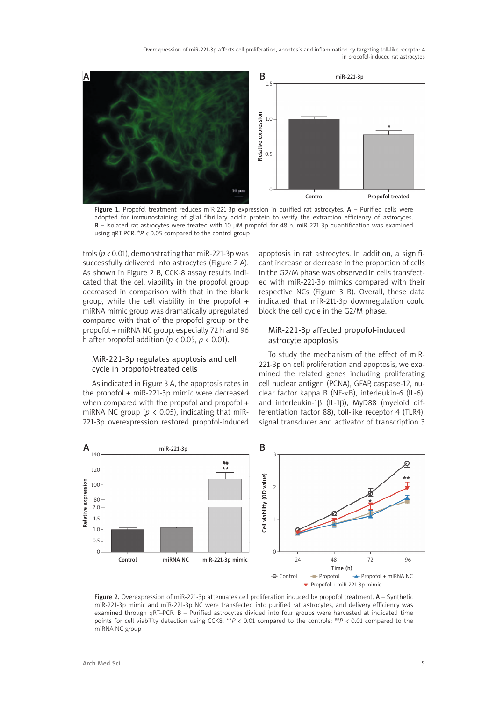Overexpression of miR-221-3p affects cell proliferation, apoptosis and inflammation by targeting toll-like receptor 4 in propofol-induced rat astrocytes



Figure 1. Propofol treatment reduces miR-221-3p expression in purified rat astrocytes.  $A$  – Purified cells were adopted for immunostaining of glial fibrillary acidic protein to verify the extraction efficiency of astrocytes. B – Isolated rat astrocytes were treated with 10 μM propofol for 48 h, miR-221-3p quantification was examined using qRT-PCR. \**P <* 0.05 compared to the control group

trols (*p <* 0.01), demonstrating that miR-221-3p was successfully delivered into astrocytes (Figure 2 A). As shown in Figure 2 B, CCK-8 assay results indicated that the cell viability in the propofol group decreased in comparison with that in the blank group, while the cell viability in the propofol + miRNA mimic group was dramatically upregulated compared with that of the propofol group or the propofol + miRNA NC group, especially 72 h and 96 h after propofol addition (*p <* 0.05, *p* < 0.01).

#### MiR-221-3p regulates apoptosis and cell cycle in propofol-treated cells

As indicated in Figure 3 A, the apoptosis rates in the propofol + miR-221-3p mimic were decreased when compared with the propofol and propofol + miRNA NC group ( $p < 0.05$ ), indicating that miR-221-3p overexpression restored propofol-induced apoptosis in rat astrocytes. In addition, a significant increase or decrease in the proportion of cells in the G2/M phase was observed in cells transfected with miR-221-3p mimics compared with their respective NCs (Figure 3 B). Overall, these data indicated that miR-211-3p downregulation could block the cell cycle in the G2/M phase.

### MiR-221-3p affected propofol-induced astrocyte apoptosis

To study the mechanism of the effect of miR-221-3p on cell proliferation and apoptosis, we examined the related genes including proliferating cell nuclear antigen (PCNA), GFAP, caspase-12, nuclear factor kappa B (NF-κB), interleukin-6 (IL-6), and interleukin-1β (IL-1β), MyD88 (myeloid differentiation factor 88), toll-like receptor 4 (TLR4), signal transducer and activator of transcription 3



Figure 2. Overexpression of miR-221-3p attenuates cell proliferation induced by propofol treatment. A - Synthetic miR-221-3p mimic and miR-221-3p NC were transfected into purified rat astrocytes, and delivery efficiency was examined through qRT–PCR. B – Purified astrocytes divided into four groups were harvested at indicated time points for cell viability detection using CCK8. \*\**P <* 0.01 compared to the controls; ##*P <* 0.01 compared to the miRNA NC group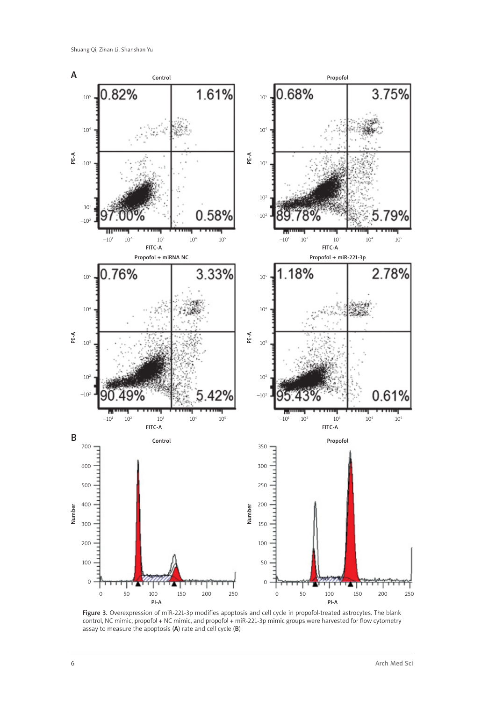

Figure 3. Overexpression of miR-221-3p modifies apoptosis and cell cycle in propofol-treated astrocytes. The blank control, NC mimic, propofol + NC mimic, and propofol + miR-221-3p mimic groups were harvested for flow cytometry assay to measure the apoptosis (A) rate and cell cycle (B)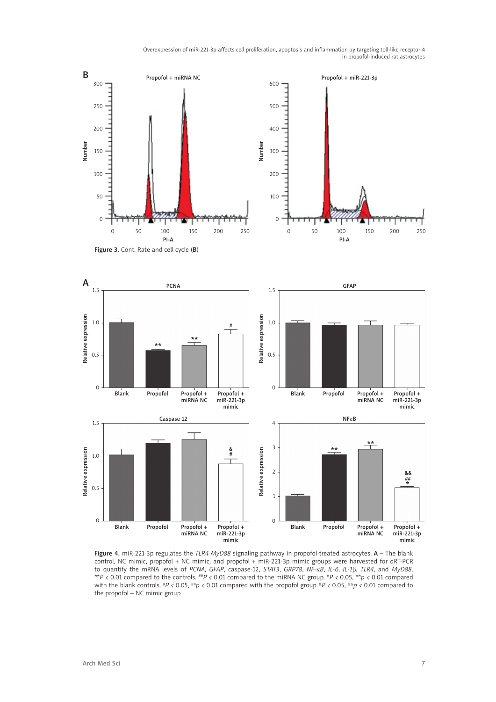Overexpression of miR-221-3p affects cell proliferation, apoptosis and inflammation by targeting toll-like receptor 4 in propofol-induced rat astrocytes



Figure 4. miR-221-3p regulates the *TLR4*-*MyD88* signaling pathway in propofol-treated astrocytes. A – The blank control, NC mimic, propofol + NC mimic, and propofol + miR-221-3p mimic groups were harvested for qRT-PCR to quantify the mRNA levels of *PCNA*, *GFAP*, caspase-12, *STAT3*, *GRP78*, *NF-*κ*B*, *IL-6*, *IL-1*β, *TLR4*, and *MyD88*. \*\**P <* 0.01 compared to the controls. ##*P <* 0.01 compared to the miRNA NC group. \**P <* 0.05, \*\**p <* 0.01 compared with the blank controls. #*P <* 0.05, ##*p <* 0.01 compared with the propofol group. &*P <* 0.05, &&*p <* 0.01 compared to the propofol + NC mimic group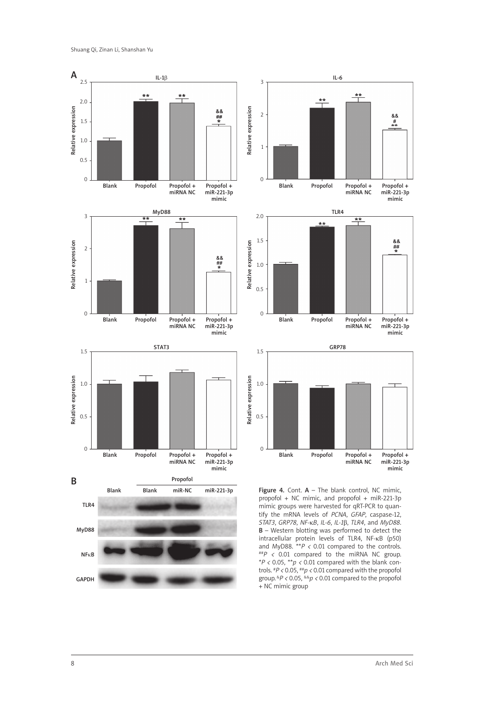

group. &*P <* 0.05, &&*p <* 0.01 compared to the propofol + NC mimic group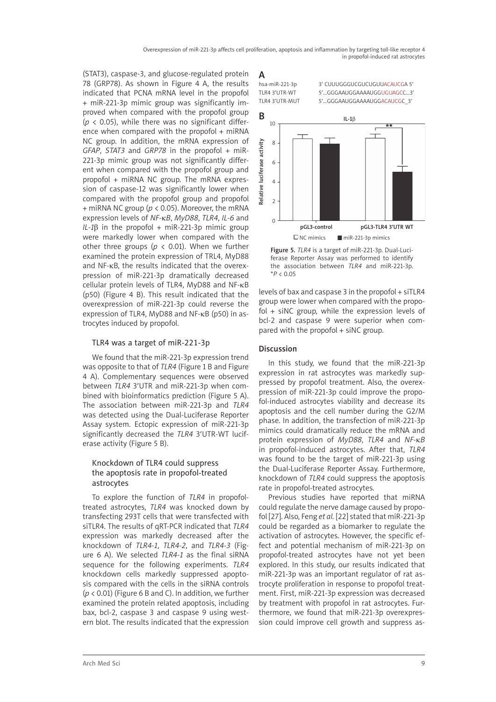(STAT3), caspase-3, and glucose-regulated protein 78 (GRP78). As shown in Figure 4 A, the results indicated that PCNA mRNA level in the propofol + miR-221-3p mimic group was significantly improved when compared with the propofol group  $(p \lt 0.05)$ , while there was no significant difference when compared with the propofol + miRNA NC group. In addition, the mRNA expression of *GFAP*, *STAT3* and *GRP78* in the propofol + miR-221-3p mimic group was not significantly different when compared with the propofol group and propofol + miRNA NC group. The mRNA expression of caspase-12 was significantly lower when compared with the propofol group and propofol + miRNA NC group (*p* < 0.05). Moreover, the mRNA expression levels of *NF-*κ*B*, *MyD88*, *TLR4*, *IL-6* and  $IL-1\beta$  in the propofol + miR-221-3p mimic group were markedly lower when compared with the other three groups ( $p < 0.01$ ). When we further examined the protein expression of TRL4, MyD88 and NF-κB, the results indicated that the overexpression of miR-221-3p dramatically decreased cellular protein levels of TLR4, MyD88 and NF-κB (p50) (Figure 4 B). This result indicated that the overexpression of miR-221-3p could reverse the expression of TLR4, MyD88 and NF-κB (p50) in astrocytes induced by propofol.

## TLR4 was a target of miR-221-3p

We found that the miR-221-3p expression trend was opposite to that of *TLR4* (Figure 1 B and Figure 4 A). Complementary sequences were observed between *TLR4* 3′UTR and miR-221-3p when combined with bioinformatics prediction (Figure 5 A). The association between miR-221-3p and *TLR4* was detected using the Dual-Luciferase Reporter Assay system. Ectopic expression of miR-221-3p significantly decreased the *TLR4* 3′UTR-WT luciferase activity (Figure 5 B).

### Knockdown of TLR4 could suppress the apoptosis rate in propofol-treated astrocytes

To explore the function of *TLR4* in propofoltreated astrocytes, *TLR4* was knocked down by transfecting 293T cells that were transfected with siTLR4. The results of qRT-PCR indicated that *TLR4* expression was markedly decreased after the knockdown of *TLR4-1*, *TLR4-2*, and *TLR4-3* (Figure 6 A). We selected *TLR4-1* as the final siRNA sequence for the following experiments. *TLR4* knockdown cells markedly suppressed apoptosis compared with the cells in the siRNA controls (*p* < 0.01) (Figure 6 B and C). In addition, we further examined the protein related apoptosis, including bax, bcl-2, caspase 3 and caspase 9 using western blot. The results indicated that the expression

 $A$ <br>hsa-miR-221-3p

3' CUUUGGGUCGUCUGUUACAUCGA 5' TLR4 3'UTR-WT 5'...GGGAAUGGAAAAUGGUGUAGCC…3' TLR4 3'UTR-MUT 5' ... GGGAAUGGAAAAUGGACAUCGC 3'



Figure 5. *TLR4* is a target of miR-221-3p. Dual-Luciferase Reporter Assay was performed to identify the association between *TLR4* and miR-221-3p. \**P* < 0.05

levels of bax and caspase 3 in the propofol + siTLR4 group were lower when compared with the propofol + siNC group, while the expression levels of bcl-2 and caspase 9 were superior when compared with the propofol + siNC group.

## **Discussion**

In this study, we found that the miR-221-3p expression in rat astrocytes was markedly suppressed by propofol treatment. Also, the overexpression of miR-221-3p could improve the propofol-induced astrocytes viability and decrease its apoptosis and the cell number during the G2/M phase. In addition, the transfection of miR-221-3p mimics could dramatically reduce the mRNA and protein expression of *MyD88*, *TLR4* and *NF-*κ*B* in propofol-induced astrocytes. After that, *TLR4* was found to be the target of miR-221-3p using the Dual-Luciferase Reporter Assay. Furthermore, knockdown of *TLR4* could suppress the apoptosis rate in propofol-treated astrocytes.

Previous studies have reported that miRNA could regulate the nerve damage caused by propofol [27]. Also, Feng *et al.* [22] stated that miR-221-3p could be regarded as a biomarker to regulate the activation of astrocytes. However, the specific effect and potential mechanism of miR-221-3p on propofol-treated astrocytes have not yet been explored. In this study, our results indicated that miR-221-3p was an important regulator of rat astrocyte proliferation in response to propofol treatment. First, miR-221-3p expression was decreased by treatment with propofol in rat astrocytes. Furthermore, we found that miR-221-3p overexpression could improve cell growth and suppress as-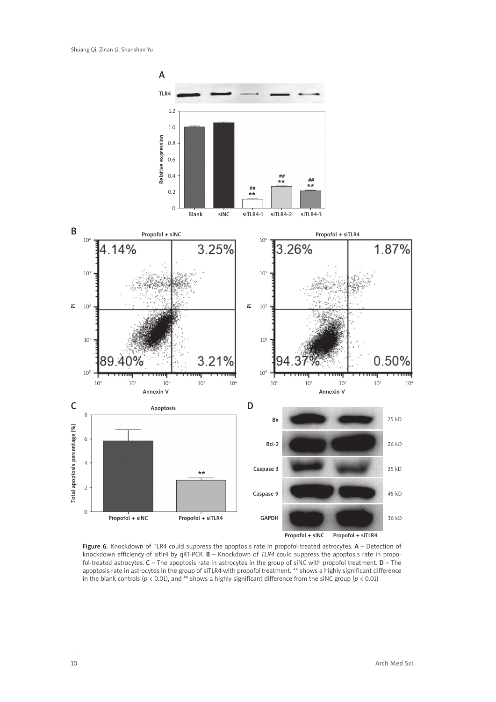

Figure 6. Knockdown of TLR4 could suppress the apoptosis rate in propofol-treated astrocytes. A - Detection of knockdown efficiency of sitlr4 by qRT-PCR. B – Knockdown of *TLR4* could suppress the apoptosis rate in propofol-treated astrocytes. C – The apoptosis rate in astrocytes in the group of siNC with propofol treatment. D – The apoptosis rate in astrocytes in the group of siTLR4 with propofol treatment. \*\* shows a highly significant difference in the blank controls ( $p < 0.01$ ), and  $^{**}$  shows a highly significant difference from the siNC group ( $p < 0.01$ )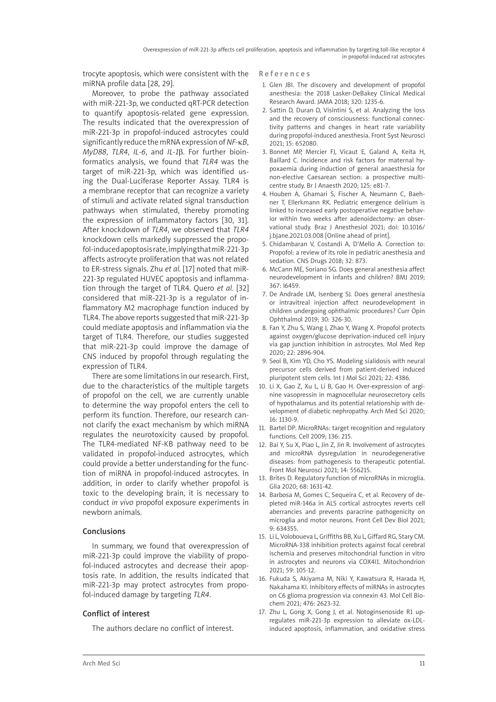trocyte apoptosis, which were consistent with the miRNA profile data [28, 29].

Moreover, to probe the pathway associated with miR-221-3p, we conducted qRT-PCR detection to quantify apoptosis-related gene expression. The results indicated that the overexpression of miR-221-3p in propofol-induced astrocytes could significantly reduce the mRNA expression of *NF-*κ*B*, *MyD88*, *TLR4*, *IL-6*, and *IL-1*β. For further bioinformatics analysis, we found that *TLR4* was the target of miR-221-3p, which was identified using the Dual-Luciferase Reporter Assay. TLR4 is a membrane receptor that can recognize a variety of stimuli and activate related signal transduction pathways when stimulated, thereby promoting the expression of inflammatory factors [30, 31]. After knockdown of *TLR4*, we observed that *TLR4* knockdown cells markedly suppressed the propofol-induced apoptosis rate, implying that miR-221-3p affects astrocyte proliferation that was not related to ER-stress signals. Zhu *et al.* [17] noted that miR-221-3p regulated HUVEC apoptosis and inflammation through the target of TLR4. Quero *et al.* [32] considered that miR-221-3p is a regulator of inflammatory M2 macrophage function induced by TLR4. The above reports suggested that miR-221-3p could mediate apoptosis and inflammation via the target of TLR4. Therefore, our studies suggested that miR-221-3p could improve the damage of CNS induced by propofol through regulating the expression of TLR4.

There are some limitations in our research. First, due to the characteristics of the multiple targets of propofol on the cell, we are currently unable to determine the way propofol enters the cell to perform its function. Therefore, our research cannot clarify the exact mechanism by which miRNA regulates the neurotoxicity caused by propofol. The TLR4-mediated NF-KB pathway need to be validated in propofol-induced astrocytes, which could provide a better understanding for the function of miRNA in propofol-induced astrocytes. In addition, in order to clarify whether propofol is toxic to the developing brain, it is necessary to conduct *in vivo* propofol exposure experiments in newborn animals.

## Conclusions

In summary, we found that overexpression of miR-221-3p could improve the viability of propofol-induced astrocytes and decrease their apoptosis rate. In addition, the results indicated that miR-221-3p may protect astrocytes from propofol-induced damage by targeting *TLR4*.

## Conflict of interest

The authors declare no conflict of interest.

References

- 1. Glen JBI. The discovery and development of propofol anesthesia: the 2018 Lasker-DeBakey Clinical Medical Research Award. JAMA 2018; 320: 1235-6.
- 2. Sattin D, Duran D, Visintini S, et al. Analyzing the loss and the recovery of consciousness: functional connectivity patterns and changes in heart rate variability during propofol-induced anesthesia. Front Syst Neurosci 2021; 15: 652080.
- 3. Bonnet MP, Mercier FJ, Vicaut E, Galand A, Keita H, Baillard C. Incidence and risk factors for maternal hypoxaemia during induction of general anaesthesia for non-elective Caesarean section: a prospective multicentre study. Br J Anaesth 2020; 125: e81-7.
- 4. Houben A, Ghamari S, Fischer A, Neumann C, Baehner T, Ellerkmann RK. Pediatric emergence delirium is linked to increased early postoperative negative behavior within two weeks after adenoidectomy: an observational study. Braz J Anesthesiol 2021; doi: 10.1016/ j.bjane.2021.03.008 [Online ahead of print].
- 5. Chidambaran V, Costandi A, D'Mello A. Correction to: Propofol: a review of its role in pediatric anesthesia and sedation. CNS Drugs 2018; 32: 873.
- 6. McCann ME, Soriano SG. Does general anesthesia affect neurodevelopment in infants and children? BMJ 2019; 367: l6459.
- 7. De Andrade LM, Isenberg SJ. Does general anesthesia or intravitreal injection affect neurodevelopment in children undergoing ophthalmic procedures? Curr Opin Ophthalmol 2019; 30: 326-30.
- 8. Fan Y, Zhu S, Wang J, Zhao Y, Wang X. Propofol protects against oxygen/glucose deprivation-induced cell injury via gap junction inhibition in astrocytes. Mol Med Rep 2020; 22: 2896-904.
- 9. Seol B, Kim YD, Cho YS. Modeling sialidosis with neural precursor cells derived from patient-derived induced pluripotent stem cells. Int J Mol Sci 2021; 22: 4386.
- 10. Li X, Gao Z, Xu L, Li B, Gao H. Over-expression of arginine vasopressin in magnocellular neurosecretory cells of hypothalamus and its potential relationship with development of diabetic nephropathy. Arch Med Sci 2020; 16: 1130-9.
- 11. Bartel DP. MicroRNAs: target recognition and regulatory functions. Cell 2009; 136: 215.
- 12. Bai Y, Su X, Piao L, Jin Z, Jin R. Involvement of astrocytes and microRNA dysregulation in neurodegenerative diseases: from pathogenesis to therapeutic potential. Front Mol Neurosci 2021; 14: 556215.
- 13. Brites D. Regulatory function of microRNAs in microglia. Glia 2020; 68: 1631-42.
- 14. Barbosa M, Gomes C, Sequeira C, et al. Recovery of depleted miR-146a in ALS cortical astrocytes reverts cell aberrancies and prevents paracrine pathogenicity on microglia and motor neurons. Front Cell Dev Biol 2021; 9: 634355.
- 15. Li L, Voloboueva L, Griffiths BB, Xu L, Giffard RG, Stary CM. MicroRNA-338 inhibition protects against focal cerebral ischemia and preserves mitochondrial function in vitro in astrocytes and neurons via COX4I1. Mitochondrion 2021; 59: 105-12.
- 16. Fukuda S, Akiyama M, Niki Y, Kawatsura R, Harada H, Nakahama KI. Inhibitory effects of miRNAs in astrocytes on C6 glioma progression via connexin 43. Mol Cell Biochem 2021; 476: 2623-32.
- 17. Zhu L, Gong X, Gong J, et al. Notoginsenoside R1 upregulates miR-221-3p expression to alleviate ox-LDLinduced apoptosis, inflammation, and oxidative stress